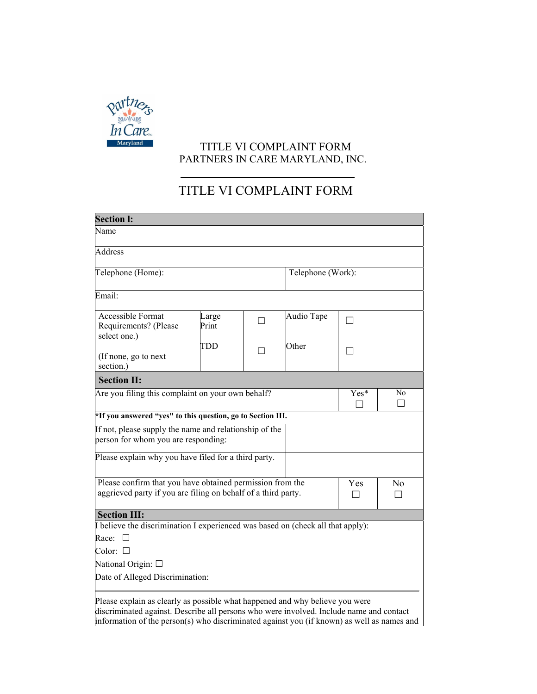

## TITLE VI COMPLAINT FORM PARTNERS IN CARE MARYLAND, INC.

## TITLE VI COMPLAINT FORM

| <b>Section I:</b>                                                                                                                                                       |                |   |                   |                     |    |
|-------------------------------------------------------------------------------------------------------------------------------------------------------------------------|----------------|---|-------------------|---------------------|----|
| Name                                                                                                                                                                    |                |   |                   |                     |    |
| <b>Address</b>                                                                                                                                                          |                |   |                   |                     |    |
| Telephone (Home):                                                                                                                                                       |                |   | Telephone (Work): |                     |    |
| Email:                                                                                                                                                                  |                |   |                   |                     |    |
| Accessible Format<br>Requirements? (Please<br>select one.)<br>(If none, go to next<br>section.)                                                                         | Large<br>Print | П | Audio Tape        | П                   |    |
|                                                                                                                                                                         | TDD            | П | Other             | $\mathbf{I}$        |    |
| <b>Section II:</b>                                                                                                                                                      |                |   |                   |                     |    |
| Are you filing this complaint on your own behalf?                                                                                                                       |                |   |                   | Yes*                | No |
| *If you answered "yes" to this question, go to Section III.                                                                                                             |                |   |                   |                     |    |
| If not, please supply the name and relationship of the<br>person for whom you are responding:                                                                           |                |   |                   |                     |    |
| Please explain why you have filed for a third party.                                                                                                                    |                |   |                   |                     |    |
| Please confirm that you have obtained permission from the<br>aggrieved party if you are filing on behalf of a third party.                                              |                |   | Yes<br>П          | N <sub>o</sub><br>П |    |
| <b>Section III:</b>                                                                                                                                                     |                |   |                   |                     |    |
| I believe the discrimination I experienced was based on (check all that apply):                                                                                         |                |   |                   |                     |    |
| Race:<br>$\Box$                                                                                                                                                         |                |   |                   |                     |    |
| Color: $\square$                                                                                                                                                        |                |   |                   |                     |    |
| National Origin: □                                                                                                                                                      |                |   |                   |                     |    |
| Date of Alleged Discrimination:                                                                                                                                         |                |   |                   |                     |    |
| Please explain as clearly as possible what happened and why believe you were<br>discriminated against. Describe all persons who were involved. Include name and contact |                |   |                   |                     |    |

information of the person(s) who discriminated against you (if known) as well as names and